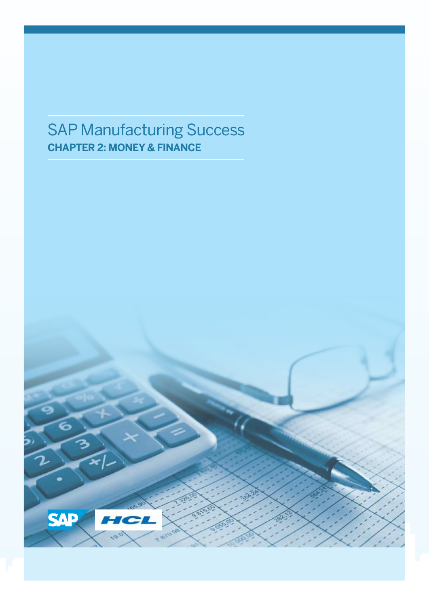## SAP Manufacturing Success **CHAPTER 2: MONEY & FINANCE**

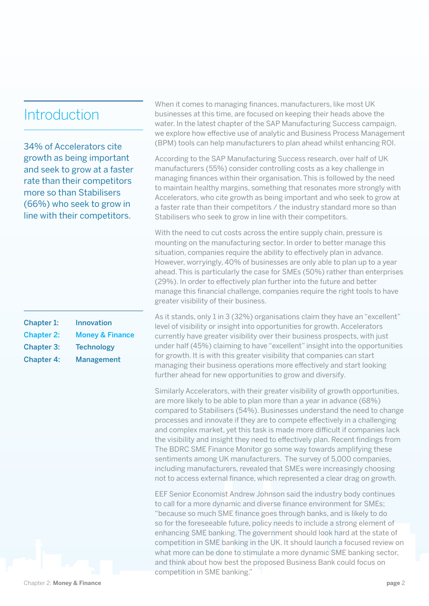#### **Introduction**

34% of Accelerators cite growth as being important and seek to grow at a faster rate than their competitors more so than Stabilisers (66%) who seek to grow in line with their competitors.

| Chapter 1:        | Innovation                 |
|-------------------|----------------------------|
| <b>Chapter 2:</b> | <b>Money &amp; Finance</b> |
| <b>Chapter 3:</b> | <b>Technology</b>          |
| <b>Chapter 4:</b> | <b>Management</b>          |

When it comes to managing finances, manufacturers, like most UK businesses at this time, are focused on keeping their heads above the water. In the latest chapter of the SAP Manufacturing Success campaign, we explore how effective use of analytic and Business Process Management (BPM) tools can help manufacturers to plan ahead whilst enhancing ROI.

According to the SAP Manufacturing Success research, over half of UK manufacturers (55%) consider controlling costs as a key challenge in managing finances within their organisation. This is followed by the need to maintain healthy margins, something that resonates more strongly with Accelerators, who cite growth as being important and who seek to grow at a faster rate than their competitors / the industry standard more so than Stabilisers who seek to grow in line with their competitors.

With the need to cut costs across the entire supply chain, pressure is mounting on the manufacturing sector. In order to better manage this situation, companies require the ability to effectively plan in advance. However, worryingly, 40% of businesses are only able to plan up to a year ahead. This is particularly the case for SMEs (50%) rather than enterprises (29%). In order to effectively plan further into the future and better manage this financial challenge, companies require the right tools to have greater visibility of their business.

As it stands, only 1 in 3 (32%) organisations claim they have an "excellent" level of visibility or insight into opportunities for growth. Accelerators currently have greater visibility over their business prospects, with just under half (45%) claiming to have "excellent" insight into the opportunities for growth. It is with this greater visibility that companies can start managing their business operations more effectively and start looking further ahead for new opportunities to grow and diversify.

Similarly Accelerators, with their greater visibility of growth opportunities, are more likely to be able to plan more than a year in advance (68%) compared to Stabilisers (54%). Businesses understand the need to change processes and innovate if they are to compete effectively in a challenging and complex market, yet this task is made more difficult if companies lack the visibility and insight they need to effectively plan. Recent findings from The BDRC SME Finance Monitor go some way towards amplifying these sentiments among UK manufacturers. The survey of 5,000 companies, including manufacturers, revealed that SMEs were increasingly choosing not to access external finance, which represented a clear drag on growth.

EEF Senior Economist Andrew Johnson said the industry body continues to call for a more dynamic and diverse finance environment for SMEs; "because so much SME finance goes through banks, and is likely to do so for the foreseeable future, policy needs to include a strong element of enhancing SME banking. The government should look hard at the state of competition in SME banking in the UK. It should launch a focused review on what more can be done to stimulate a more dynamic SME banking sector, and think about how best the proposed Business Bank could focus on competition in SME banking."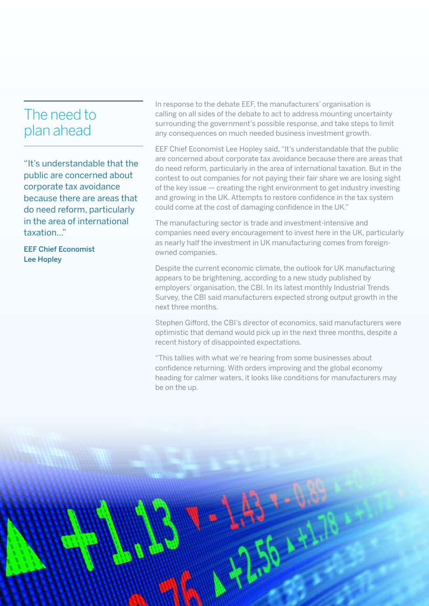#### The need to plan ahead

"It's understandable that the public are concerned about corporate tax avoidance because there are areas that do need reform, particularly in the area of international taxation..."

EEF Chief Economist Lee Hopley

In response to the debate EEF, the manufacturers' organisation is calling on all sides of the debate to act to address mounting uncertainty surrounding the government's possible response, and take steps to limit any consequences on much needed business investment growth.

EEF Chief Economist Lee Hopley said, "It's understandable that the public are concerned about corporate tax avoidance because there are areas that do need reform, particularly in the area of international taxation. But in the contest to out companies for not paying their fair share we are losing sight of the key issue — creating the right environment to get industry investing and growing in the UK. Attempts to restore confidence in the tax system could come at the cost of damaging confidence in the UK."

The manufacturing sector is trade and investment-intensive and companies need every encouragement to invest here in the UK, particularly as nearly half the investment in UK manufacturing comes from foreignowned companies.

Despite the current economic climate, the outlook for UK manufacturing appears to be brightening, according to a new study published by employers' organisation, the CBI. In its latest monthly Industrial Trends Survey, the CBI said manufacturers expected strong output growth in the next three months.

Stephen Gifford, the CBI's director of economics, said manufacturers were optimistic that demand would pick up in the next three months, despite a recent history of disappointed expectations.

"This tallies with what we're hearing from some businesses about confidence returning. With orders improving and the global economy heading for calmer waters, it looks like conditions for manufacturers may be on the up.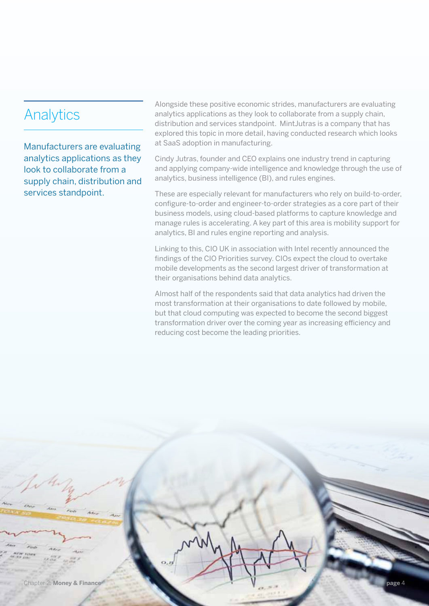## **Analytics**

Manufacturers are evaluating analytics applications as they look to collaborate from a supply chain, distribution and services standpoint.

Alongside these positive economic strides, manufacturers are evaluating analytics applications as they look to collaborate from a supply chain, distribution and services standpoint. MintJutras is a company that has explored this topic in more detail, having conducted research which looks at SaaS adoption in manufacturing.

Cindy Jutras, founder and CEO explains one industry trend in capturing and applying company-wide intelligence and knowledge through the use of analytics, business intelligence (BI), and rules engines.

These are especially relevant for manufacturers who rely on build-to-order, configure-to-order and engineer-to-order strategies as a core part of their business models, using cloud-based platforms to capture knowledge and manage rules is accelerating. A key part of this area is mobility support for analytics, BI and rules engine reporting and analysis.

Linking to this, CIO UK in association with Intel recently announced the findings of the CIO Priorities survey. CIOs expect the cloud to overtake mobile developments as the second largest driver of transformation at their organisations behind data analytics.

Almost half of the respondents said that data analytics had driven the most transformation at their organisations to date followed by mobile, but that cloud computing was expected to become the second biggest transformation driver over the coming year as increasing efficiency and reducing cost become the leading priorities.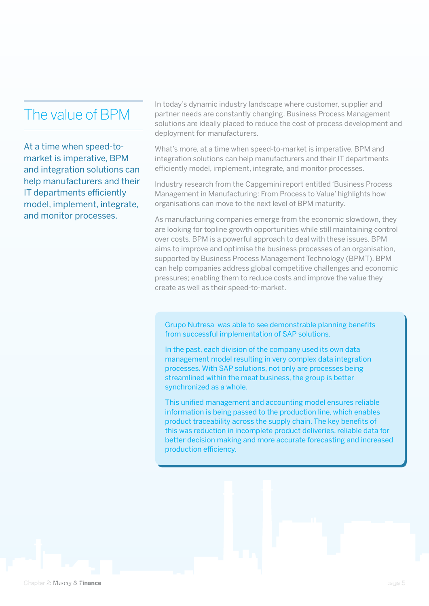#### The value of BPM

At a time when speed-tomarket is imperative, BPM and integration solutions can help manufacturers and their IT departments efficiently model, implement, integrate, and monitor processes.

In today's dynamic industry landscape where customer, supplier and partner needs are constantly changing, Business Process Management solutions are ideally placed to reduce the cost of process development and deployment for manufacturers.

What's more, at a time when speed-to-market is imperative, BPM and integration solutions can help manufacturers and their IT departments efficiently model, implement, integrate, and monitor processes.

Industry research from the Capgemini report entitled 'Business Process Management in Manufacturing: From Process to Value' highlights how organisations can move to the next level of BPM maturity.

As manufacturing companies emerge from the economic slowdown, they are looking for topline growth opportunities while still maintaining control over costs. BPM is a powerful approach to deal with these issues. BPM aims to improve and optimise the business processes of an organisation, supported by Business Process Management Technology (BPMT). BPM can help companies address global competitive challenges and economic pressures; enabling them to reduce costs and improve the value they create as well as their speed-to-market.

Grupo Nutresa was able to see demonstrable planning benefits from successful implementation of SAP solutions.

In the past, each division of the company used its own data management model resulting in very complex data integration processes. With SAP solutions, not only are processes being streamlined within the meat business, the group is better synchronized as a whole.

This unified management and accounting model ensures reliable information is being passed to the production line, which enables product traceability across the supply chain. The key benefits of this was reduction in incomplete product deliveries, reliable data for better decision making and more accurate forecasting and increased production efficiency.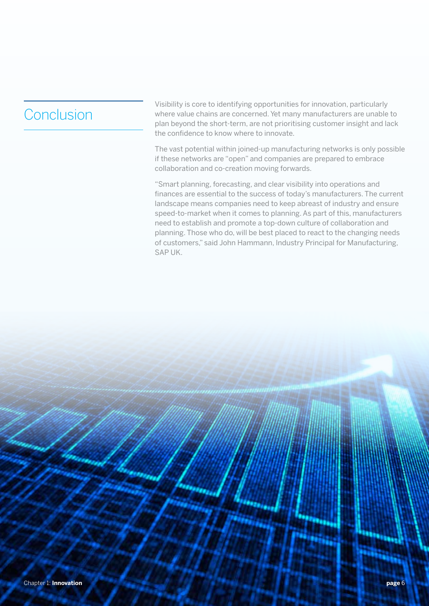## Conclusion

Visibility is core to identifying opportunities for innovation, particularly where value chains are concerned. Yet many manufacturers are unable to plan beyond the short-term, are not prioritising customer insight and lack the confidence to know where to innovate.

The vast potential within joined-up manufacturing networks is only possible if these networks are "open" and companies are prepared to embrace collaboration and co-creation moving forwards.

"Smart planning, forecasting, and clear visibility into operations and finances are essential to the success of today's manufacturers. The current landscape means companies need to keep abreast of industry and ensure speed-to-market when it comes to planning. As part of this, manufacturers need to establish and promote a top-down culture of collaboration and planning. Those who do, will be best placed to react to the changing needs of customers," said John Hammann, Industry Principal for Manufacturing, SAP UK.